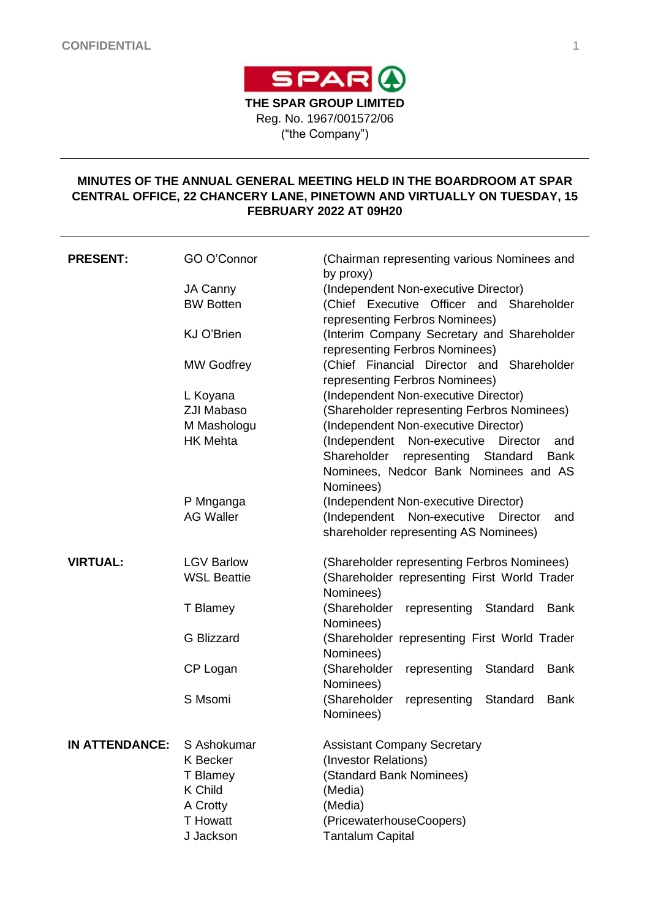

# **MINUTES OF THE ANNUAL GENERAL MEETING HELD IN THE BOARDROOM AT SPAR CENTRAL OFFICE, 22 CHANCERY LANE, PINETOWN AND VIRTUALLY ON TUESDAY, 15 FEBRUARY 2022 AT 09H20**

| <b>PRESENT:</b>       | GO O'Connor        | (Chairman representing various Nominees and<br>by proxy) |  |  |
|-----------------------|--------------------|----------------------------------------------------------|--|--|
|                       | JA Canny           | (Independent Non-executive Director)                     |  |  |
|                       | <b>BW Botten</b>   | (Chief Executive Officer and Shareholder                 |  |  |
|                       |                    | representing Ferbros Nominees)                           |  |  |
|                       | <b>KJ O'Brien</b>  | (Interim Company Secretary and Shareholder               |  |  |
|                       |                    | representing Ferbros Nominees)                           |  |  |
|                       | <b>MW Godfrey</b>  | (Chief Financial Director and Shareholder                |  |  |
|                       |                    |                                                          |  |  |
|                       |                    | representing Ferbros Nominees)                           |  |  |
|                       | L Koyana           | (Independent Non-executive Director)                     |  |  |
|                       | <b>ZJI Mabaso</b>  | (Shareholder representing Ferbros Nominees)              |  |  |
|                       | M Mashologu        | (Independent Non-executive Director)                     |  |  |
|                       | <b>HK Mehta</b>    | (Independent<br>Non-executive<br>Director<br>and         |  |  |
|                       |                    | Shareholder<br>representing<br>Standard<br><b>Bank</b>   |  |  |
|                       |                    | Nominees, Nedcor Bank Nominees and AS                    |  |  |
|                       |                    | Nominees)                                                |  |  |
|                       | P Mnganga          | (Independent Non-executive Director)                     |  |  |
|                       | <b>AG Waller</b>   | (Independent<br>Non-executive<br><b>Director</b><br>and  |  |  |
|                       |                    | shareholder representing AS Nominees)                    |  |  |
| <b>VIRTUAL:</b>       | <b>LGV Barlow</b>  | (Shareholder representing Ferbros Nominees)              |  |  |
|                       | <b>WSL Beattie</b> | (Shareholder representing First World Trader             |  |  |
|                       |                    | Nominees)                                                |  |  |
|                       | T Blamey           | (Shareholder<br>representing<br>Standard<br><b>Bank</b>  |  |  |
|                       |                    | Nominees)                                                |  |  |
|                       | <b>G</b> Blizzard  | (Shareholder representing First World Trader             |  |  |
|                       |                    | Nominees)                                                |  |  |
|                       | CP Logan           | (Shareholder<br>representing<br>Standard<br><b>Bank</b>  |  |  |
|                       |                    | Nominees)                                                |  |  |
|                       | S Msomi            | (Shareholder<br>representing<br>Standard<br><b>Bank</b>  |  |  |
|                       |                    | Nominees)                                                |  |  |
|                       |                    |                                                          |  |  |
| <b>IN ATTENDANCE:</b> | S Ashokumar        | <b>Assistant Company Secretary</b>                       |  |  |
|                       | K Becker           | (Investor Relations)                                     |  |  |
|                       | T Blamey           | (Standard Bank Nominees)                                 |  |  |
|                       | <b>K Child</b>     | (Media)                                                  |  |  |
|                       | A Crotty           | (Media)                                                  |  |  |
|                       | <b>T</b> Howatt    | (PricewaterhouseCoopers)                                 |  |  |
|                       | J Jackson          |                                                          |  |  |
|                       |                    | <b>Tantalum Capital</b>                                  |  |  |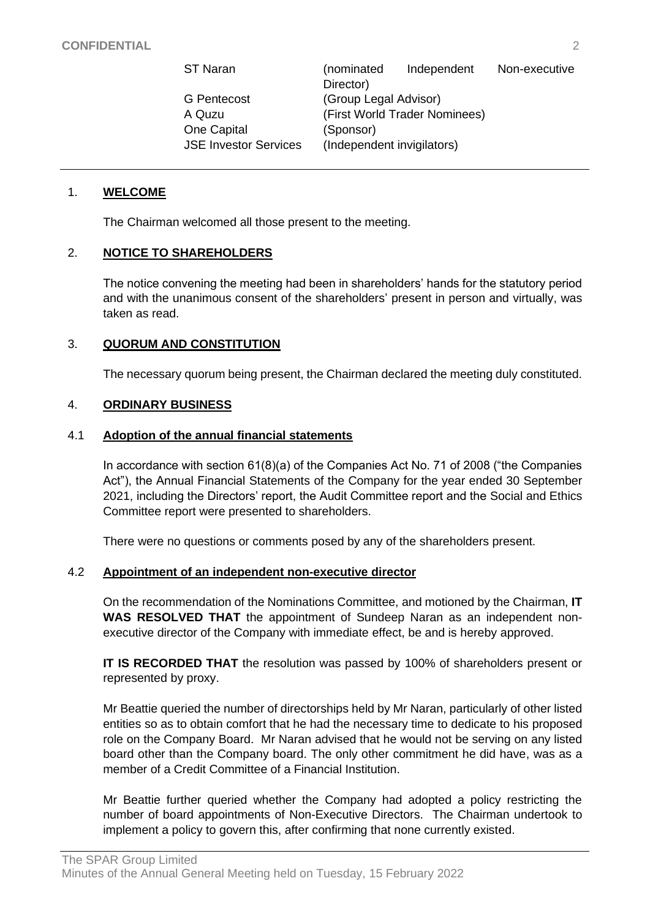| ST Naran                     | (nominated                    | Independent | Non-executive |  |
|------------------------------|-------------------------------|-------------|---------------|--|
|                              | Director)                     |             |               |  |
| <b>G</b> Pentecost           | (Group Legal Advisor)         |             |               |  |
| A Quzu                       | (First World Trader Nominees) |             |               |  |
| <b>One Capital</b>           | (Sponsor)                     |             |               |  |
| <b>JSE Investor Services</b> | (Independent invigilators)    |             |               |  |

## 1. **WELCOME**

The Chairman welcomed all those present to the meeting.

#### 2. **NOTICE TO SHAREHOLDERS**

The notice convening the meeting had been in shareholders' hands for the statutory period and with the unanimous consent of the shareholders' present in person and virtually, was taken as read.

#### 3. **QUORUM AND CONSTITUTION**

The necessary quorum being present, the Chairman declared the meeting duly constituted.

#### 4. **ORDINARY BUSINESS**

#### 4.1 **Adoption of the annual financial statements**

In accordance with section 61(8)(a) of the Companies Act No. 71 of 2008 ("the Companies Act"), the Annual Financial Statements of the Company for the year ended 30 September 2021, including the Directors' report, the Audit Committee report and the Social and Ethics Committee report were presented to shareholders.

There were no questions or comments posed by any of the shareholders present.

#### 4.2 **Appointment of an independent non-executive director**

On the recommendation of the Nominations Committee, and motioned by the Chairman, **IT WAS RESOLVED THAT** the appointment of Sundeep Naran as an independent nonexecutive director of the Company with immediate effect, be and is hereby approved.

**IT IS RECORDED THAT** the resolution was passed by 100% of shareholders present or represented by proxy.

Mr Beattie queried the number of directorships held by Mr Naran, particularly of other listed entities so as to obtain comfort that he had the necessary time to dedicate to his proposed role on the Company Board. Mr Naran advised that he would not be serving on any listed board other than the Company board. The only other commitment he did have, was as a member of a Credit Committee of a Financial Institution.

Mr Beattie further queried whether the Company had adopted a policy restricting the number of board appointments of Non-Executive Directors. The Chairman undertook to implement a policy to govern this, after confirming that none currently existed.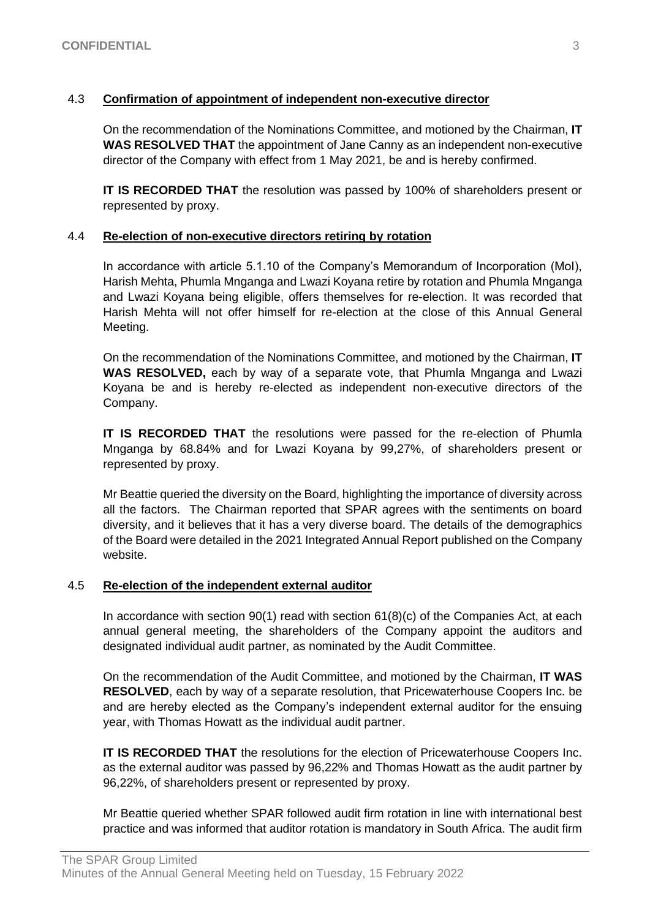# 4.3 **Confirmation of appointment of independent non-executive director**

On the recommendation of the Nominations Committee, and motioned by the Chairman, **IT WAS RESOLVED THAT** the appointment of Jane Canny as an independent non-executive director of the Company with effect from 1 May 2021, be and is hereby confirmed.

**IT IS RECORDED THAT** the resolution was passed by 100% of shareholders present or represented by proxy.

## 4.4 **Re-election of non-executive directors retiring by rotation**

In accordance with article 5.1.10 of the Company's Memorandum of Incorporation (MoI), Harish Mehta, Phumla Mnganga and Lwazi Koyana retire by rotation and Phumla Mnganga and Lwazi Koyana being eligible, offers themselves for re-election. It was recorded that Harish Mehta will not offer himself for re-election at the close of this Annual General Meeting.

On the recommendation of the Nominations Committee, and motioned by the Chairman, **IT WAS RESOLVED,** each by way of a separate vote, that Phumla Mnganga and Lwazi Koyana be and is hereby re-elected as independent non-executive directors of the Company.

**IT IS RECORDED THAT** the resolutions were passed for the re-election of Phumla Mnganga by 68.84% and for Lwazi Koyana by 99,27%, of shareholders present or represented by proxy.

Mr Beattie queried the diversity on the Board, highlighting the importance of diversity across all the factors. The Chairman reported that SPAR agrees with the sentiments on board diversity, and it believes that it has a very diverse board. The details of the demographics of the Board were detailed in the 2021 Integrated Annual Report published on the Company website.

## 4.5 **Re-election of the independent external auditor**

In accordance with section 90(1) read with section 61(8)(c) of the Companies Act, at each annual general meeting, the shareholders of the Company appoint the auditors and designated individual audit partner, as nominated by the Audit Committee.

On the recommendation of the Audit Committee, and motioned by the Chairman, **IT WAS RESOLVED**, each by way of a separate resolution, that Pricewaterhouse Coopers Inc. be and are hereby elected as the Company's independent external auditor for the ensuing year, with Thomas Howatt as the individual audit partner.

**IT IS RECORDED THAT** the resolutions for the election of Pricewaterhouse Coopers Inc. as the external auditor was passed by 96,22% and Thomas Howatt as the audit partner by 96,22%, of shareholders present or represented by proxy.

Mr Beattie queried whether SPAR followed audit firm rotation in line with international best practice and was informed that auditor rotation is mandatory in South Africa. The audit firm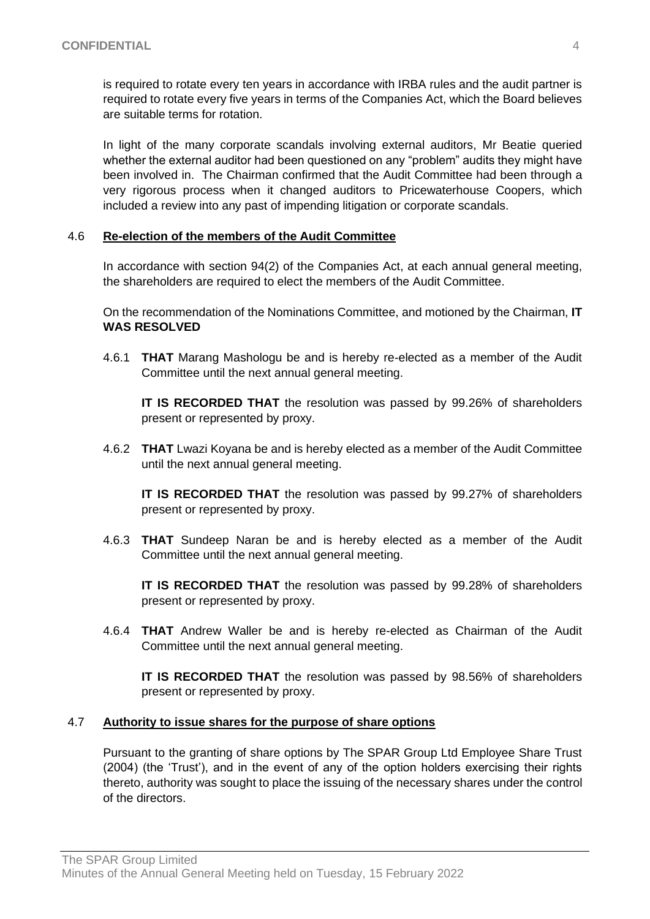is required to rotate every ten years in accordance with IRBA rules and the audit partner is required to rotate every five years in terms of the Companies Act, which the Board believes are suitable terms for rotation.

In light of the many corporate scandals involving external auditors, Mr Beatie queried whether the external auditor had been questioned on any "problem" audits they might have been involved in. The Chairman confirmed that the Audit Committee had been through a very rigorous process when it changed auditors to Pricewaterhouse Coopers, which included a review into any past of impending litigation or corporate scandals.

## 4.6 **Re-election of the members of the Audit Committee**

In accordance with section 94(2) of the Companies Act, at each annual general meeting, the shareholders are required to elect the members of the Audit Committee.

On the recommendation of the Nominations Committee, and motioned by the Chairman, **IT WAS RESOLVED**

4.6.1 **THAT** Marang Mashologu be and is hereby re-elected as a member of the Audit Committee until the next annual general meeting.

**IT IS RECORDED THAT** the resolution was passed by 99.26% of shareholders present or represented by proxy.

4.6.2 **THAT** Lwazi Koyana be and is hereby elected as a member of the Audit Committee until the next annual general meeting.

**IT IS RECORDED THAT** the resolution was passed by 99.27% of shareholders present or represented by proxy.

4.6.3 **THAT** Sundeep Naran be and is hereby elected as a member of the Audit Committee until the next annual general meeting.

**IT IS RECORDED THAT** the resolution was passed by 99.28% of shareholders present or represented by proxy.

4.6.4 **THAT** Andrew Waller be and is hereby re-elected as Chairman of the Audit Committee until the next annual general meeting.

**IT IS RECORDED THAT** the resolution was passed by 98.56% of shareholders present or represented by proxy.

## 4.7 **Authority to issue shares for the purpose of share options**

Pursuant to the granting of share options by The SPAR Group Ltd Employee Share Trust (2004) (the 'Trust'), and in the event of any of the option holders exercising their rights thereto, authority was sought to place the issuing of the necessary shares under the control of the directors.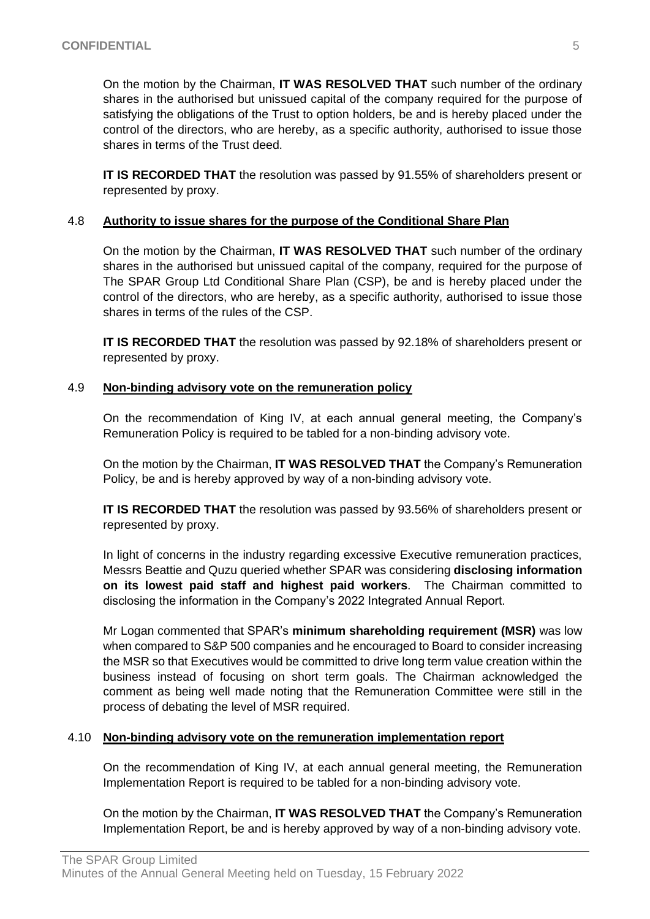On the motion by the Chairman, **IT WAS RESOLVED THAT** such number of the ordinary shares in the authorised but unissued capital of the company required for the purpose of satisfying the obligations of the Trust to option holders, be and is hereby placed under the control of the directors, who are hereby, as a specific authority, authorised to issue those shares in terms of the Trust deed.

**IT IS RECORDED THAT** the resolution was passed by 91.55% of shareholders present or represented by proxy.

## 4.8 **Authority to issue shares for the purpose of the Conditional Share Plan**

On the motion by the Chairman, **IT WAS RESOLVED THAT** such number of the ordinary shares in the authorised but unissued capital of the company, required for the purpose of The SPAR Group Ltd Conditional Share Plan (CSP), be and is hereby placed under the control of the directors, who are hereby, as a specific authority, authorised to issue those shares in terms of the rules of the CSP.

**IT IS RECORDED THAT** the resolution was passed by 92.18% of shareholders present or represented by proxy.

# 4.9 **Non-binding advisory vote on the remuneration policy**

On the recommendation of King IV, at each annual general meeting, the Company's Remuneration Policy is required to be tabled for a non-binding advisory vote.

On the motion by the Chairman, **IT WAS RESOLVED THAT** the Company's Remuneration Policy, be and is hereby approved by way of a non-binding advisory vote.

**IT IS RECORDED THAT** the resolution was passed by 93.56% of shareholders present or represented by proxy.

In light of concerns in the industry regarding excessive Executive remuneration practices, Messrs Beattie and Quzu queried whether SPAR was considering **disclosing information on its lowest paid staff and highest paid workers**. The Chairman committed to disclosing the information in the Company's 2022 Integrated Annual Report.

Mr Logan commented that SPAR's **minimum shareholding requirement (MSR)** was low when compared to S&P 500 companies and he encouraged to Board to consider increasing the MSR so that Executives would be committed to drive long term value creation within the business instead of focusing on short term goals. The Chairman acknowledged the comment as being well made noting that the Remuneration Committee were still in the process of debating the level of MSR required.

## 4.10 **Non-binding advisory vote on the remuneration implementation report**

On the recommendation of King IV, at each annual general meeting, the Remuneration Implementation Report is required to be tabled for a non-binding advisory vote.

On the motion by the Chairman, **IT WAS RESOLVED THAT** the Company's Remuneration Implementation Report, be and is hereby approved by way of a non-binding advisory vote.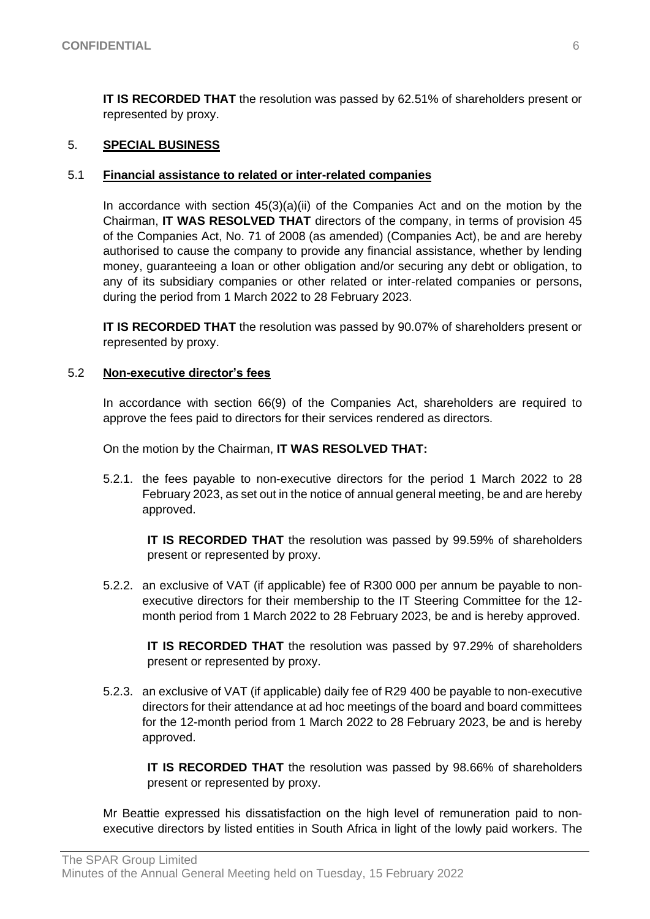**IT IS RECORDED THAT** the resolution was passed by 62.51% of shareholders present or represented by proxy.

## 5. **SPECIAL BUSINESS**

## 5.1 **Financial assistance to related or inter-related companies**

In accordance with section  $45(3)(a)(ii)$  of the Companies Act and on the motion by the Chairman, **IT WAS RESOLVED THAT** directors of the company, in terms of provision 45 of the Companies Act, No. 71 of 2008 (as amended) (Companies Act), be and are hereby authorised to cause the company to provide any financial assistance, whether by lending money, guaranteeing a loan or other obligation and/or securing any debt or obligation, to any of its subsidiary companies or other related or inter-related companies or persons, during the period from 1 March 2022 to 28 February 2023.

**IT IS RECORDED THAT** the resolution was passed by 90.07% of shareholders present or represented by proxy.

## 5.2 **Non-executive director's fees**

In accordance with section 66(9) of the Companies Act, shareholders are required to approve the fees paid to directors for their services rendered as directors.

On the motion by the Chairman, **IT WAS RESOLVED THAT:**

5.2.1. the fees payable to non-executive directors for the period 1 March 2022 to 28 February 2023, as set out in the notice of annual general meeting, be and are hereby approved.

**IT IS RECORDED THAT** the resolution was passed by 99.59% of shareholders present or represented by proxy.

5.2.2. an exclusive of VAT (if applicable) fee of R300 000 per annum be payable to nonexecutive directors for their membership to the IT Steering Committee for the 12 month period from 1 March 2022 to 28 February 2023, be and is hereby approved.

**IT IS RECORDED THAT** the resolution was passed by 97.29% of shareholders present or represented by proxy.

5.2.3. an exclusive of VAT (if applicable) daily fee of R29 400 be payable to non-executive directors for their attendance at ad hoc meetings of the board and board committees for the 12-month period from 1 March 2022 to 28 February 2023, be and is hereby approved.

**IT IS RECORDED THAT** the resolution was passed by 98.66% of shareholders present or represented by proxy.

Mr Beattie expressed his dissatisfaction on the high level of remuneration paid to nonexecutive directors by listed entities in South Africa in light of the lowly paid workers. The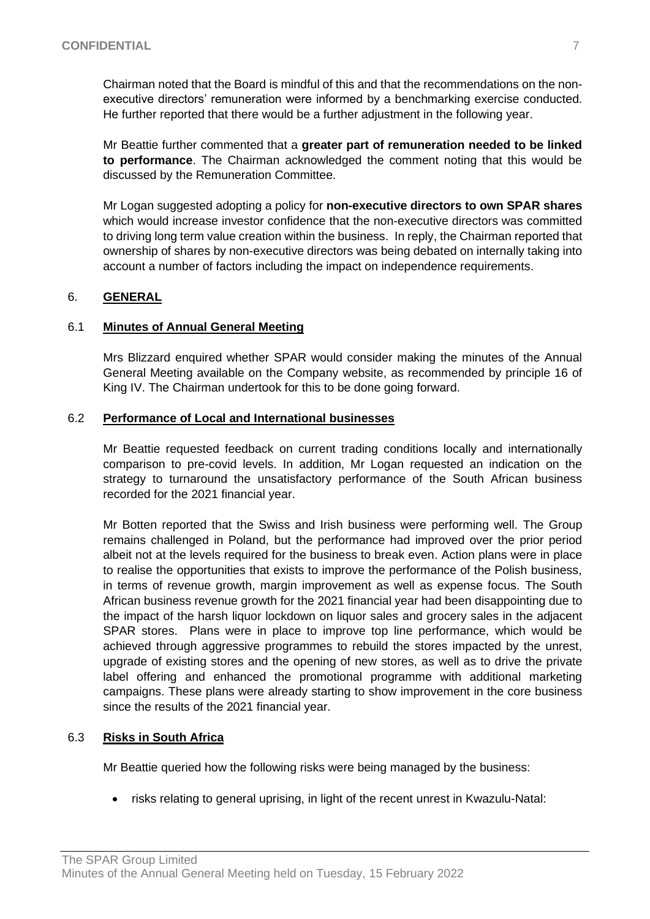Chairman noted that the Board is mindful of this and that the recommendations on the nonexecutive directors' remuneration were informed by a benchmarking exercise conducted. He further reported that there would be a further adjustment in the following year.

Mr Beattie further commented that a **greater part of remuneration needed to be linked to performance**. The Chairman acknowledged the comment noting that this would be discussed by the Remuneration Committee.

Mr Logan suggested adopting a policy for **non-executive directors to own SPAR shares** which would increase investor confidence that the non-executive directors was committed to driving long term value creation within the business. In reply, the Chairman reported that ownership of shares by non-executive directors was being debated on internally taking into account a number of factors including the impact on independence requirements.

# 6. **GENERAL**

## 6.1 **Minutes of Annual General Meeting**

Mrs Blizzard enquired whether SPAR would consider making the minutes of the Annual General Meeting available on the Company website, as recommended by principle 16 of King IV. The Chairman undertook for this to be done going forward.

## 6.2 **Performance of Local and International businesses**

Mr Beattie requested feedback on current trading conditions locally and internationally comparison to pre-covid levels. In addition, Mr Logan requested an indication on the strategy to turnaround the unsatisfactory performance of the South African business recorded for the 2021 financial year.

Mr Botten reported that the Swiss and Irish business were performing well. The Group remains challenged in Poland, but the performance had improved over the prior period albeit not at the levels required for the business to break even. Action plans were in place to realise the opportunities that exists to improve the performance of the Polish business, in terms of revenue growth, margin improvement as well as expense focus. The South African business revenue growth for the 2021 financial year had been disappointing due to the impact of the harsh liquor lockdown on liquor sales and grocery sales in the adjacent SPAR stores. Plans were in place to improve top line performance, which would be achieved through aggressive programmes to rebuild the stores impacted by the unrest, upgrade of existing stores and the opening of new stores, as well as to drive the private label offering and enhanced the promotional programme with additional marketing campaigns. These plans were already starting to show improvement in the core business since the results of the 2021 financial year.

## 6.3 **Risks in South Africa**

Mr Beattie queried how the following risks were being managed by the business:

• risks relating to general uprising, in light of the recent unrest in Kwazulu-Natal: